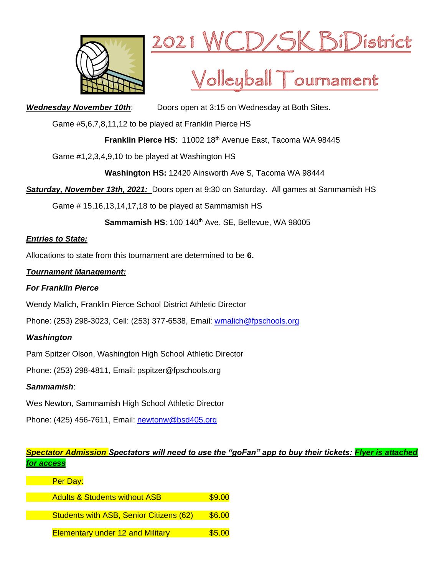



# Volleyball Tournament

**Wednesday November 10th:** Doors open at 3:15 on Wednesday at Both Sites.

Game #5,6,7,8,11,12 to be played at Franklin Pierce HS

**Franklin Pierce HS**: 11002 18th Avenue East, Tacoma WA 98445

Game #1,2,3,4,9,10 to be played at Washington HS

**Washington HS:** 12420 Ainsworth Ave S, Tacoma WA 98444

*Saturday, November 13th, 2021:* Doors open at 9:30 on Saturday. All games at Sammamish HS

Game # 15,16,13,14,17,18 to be played at Sammamish HS

Sammamish HS: 100 140<sup>th</sup> Ave. SE, Bellevue, WA 98005

# *Entries to State:*

Allocations to state from this tournament are determined to be **6.**

# *Tournament Management:*

# *For Franklin Pierce*

Wendy Malich, Franklin Pierce School District Athletic Director

Phone: (253) 298-3023, Cell: (253) 377-6538, Email: [wmalich@fpschools.org](mailto:wmalich@fpschools.org)

# *Washington*

Pam Spitzer Olson, Washington High School Athletic Director

Phone: (253) 298-4811, Email: pspitzer@fpschools.org

# *Sammamish*:

Wes Newton, Sammamish High School Athletic Director

Phone: (425) 456-7611, Email: [newtonw@bsd405.org](mailto:newtonw@bsd405.org)

# *Spectator Admission Spectators will need to use the "goFan" app to buy their tickets: Flyer is attached for access*

| Per Day:                                       |        |
|------------------------------------------------|--------|
| <b>Adults &amp; Students without ASB</b>       | \$9.00 |
| <b>Students with ASB, Senior Citizens (62)</b> | \$6.00 |
| <b>Elementary under 12 and Military</b>        | \$5.00 |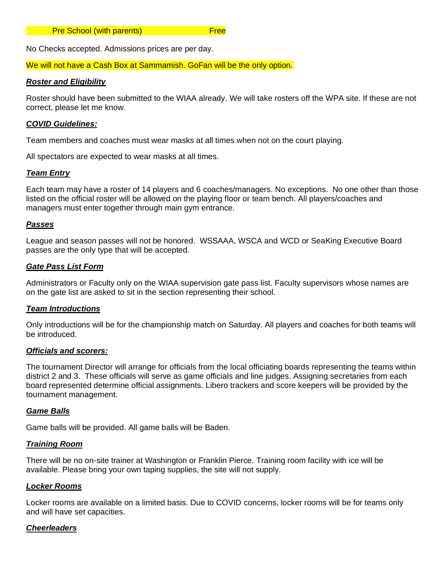#### **Pre School (with parents)** Free

No Checks accepted. Admissions prices are per day.

We will not have a Cash Box at Sammamish. GoFan will be the only option.

#### *Roster and Eligibility*

Roster should have been submitted to the WIAA already. We will take rosters off the WPA site. If these are not correct, please let me know.

#### *COVID Guidelines:*

Team members and coaches must wear masks at all times when not on the court playing.

All spectators are expected to wear masks at all times.

#### *Team Entry*

Each team may have a roster of 14 players and 6 coaches/managers. No exceptions. No one other than those listed on the official roster will be allowed on the playing floor or team bench. All players/coaches and managers must enter together through main gym entrance.

#### *Passes*

League and season passes will not be honored. WSSAAA, WSCA and WCD or SeaKing Executive Board passes are the only type that will be accepted.

### *Gate Pass List Form*

Administrators or Faculty only on the WIAA supervision gate pass list. Faculty supervisors whose names are on the gate list are asked to sit in the section representing their school.

#### *Team Introductions*

Only introductions will be for the championship match on Saturday. All players and coaches for both teams will be introduced.

#### *Officials and scorers:*

The tournament Director will arrange for officials from the local officiating boards representing the teams within district 2 and 3. These officials will serve as game officials and line judges. Assigning secretaries from each board represented determine official assignments. Libero trackers and score keepers will be provided by the tournament management.

#### *Game Balls*

Game balls will be provided. All game balls will be Baden.

#### *Training Room*

There will be no on-site trainer at Washington or Franklin Pierce. Training room facility with ice will be available. Please bring your own taping supplies, the site will not supply.

#### *Locker Rooms*

Locker rooms are available on a limited basis. Due to COVID concerns, locker rooms will be for teams only and will have set capacities.

#### *Cheerleaders*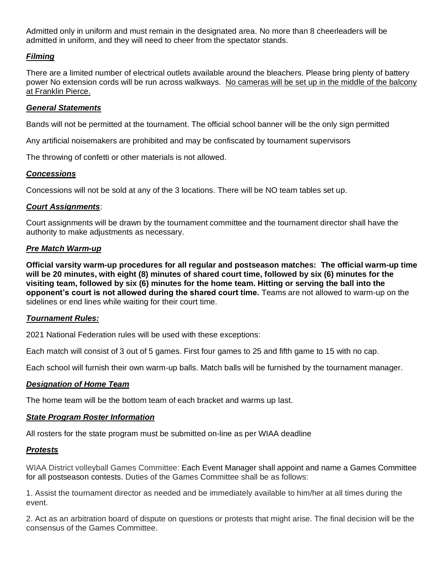Admitted only in uniform and must remain in the designated area. No more than 8 cheerleaders will be admitted in uniform, and they will need to cheer from the spectator stands.

## *Filming*

There are a limited number of electrical outlets available around the bleachers. Please bring plenty of battery power No extension cords will be run across walkways. No cameras will be set up in the middle of the balcony at Franklin Pierce.

## *General Statements*

Bands will not be permitted at the tournament. The official school banner will be the only sign permitted

Any artificial noisemakers are prohibited and may be confiscated by tournament supervisors

The throwing of confetti or other materials is not allowed.

# *Concessions*

Concessions will not be sold at any of the 3 locations. There will be NO team tables set up.

# *Court Assignments*:

Court assignments will be drawn by the tournament committee and the tournament director shall have the authority to make adjustments as necessary.

# *Pre Match Warm-up*

**Official varsity warm-up procedures for all regular and postseason matches: The official warm-up time will be 20 minutes, with eight (8) minutes of shared court time, followed by six (6) minutes for the visiting team, followed by six (6) minutes for the home team. Hitting or serving the ball into the opponent's court is not allowed during the shared court time.** Teams are not allowed to warm-up on the sidelines or end lines while waiting for their court time.

## *Tournament Rules:*

2021 National Federation rules will be used with these exceptions:

Each match will consist of 3 out of 5 games. First four games to 25 and fifth game to 15 with no cap.

Each school will furnish their own warm-up balls. Match balls will be furnished by the tournament manager.

# *Designation of Home Team*

The home team will be the bottom team of each bracket and warms up last.

## *State Program Roster Information*

All rosters for the state program must be submitted on-line as per WIAA deadline

## *Protests*

WIAA District volleyball Games Committee: Each Event Manager shall appoint and name a Games Committee for all postseason contests. Duties of the Games Committee shall be as follows:

1. Assist the tournament director as needed and be immediately available to him/her at all times during the event.

2. Act as an arbitration board of dispute on questions or protests that might arise. The final decision will be the consensus of the Games Committee.